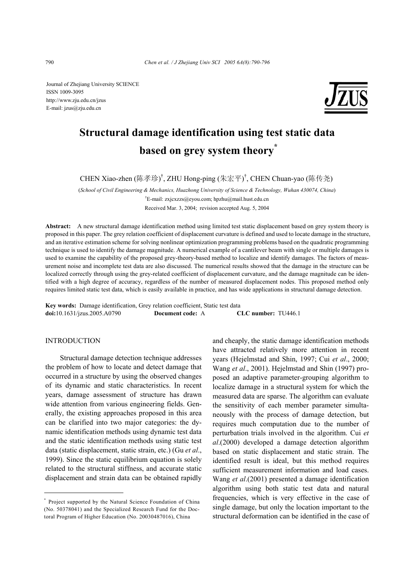Journal of Zhejiang University SCIENCE ISSN 1009-3095 http://www.zju.edu.cn/jzus E-mail: jzus@zju.edu.cn



# **Structural damage identification using test static data based on grey system theory\***

CHEN Xiao-zhen (陈孝珍)<sup>†</sup>, ZHU Hong-ping (朱宏平)<sup>†</sup>, CHEN Chuan-yao (陈传尧)

(*School of Civil Engineering & Mechanics, Huazhong University of Science & Technology, Wuhan 430074, China*) † E-mail: zxjcxzzs@eyou.com; hpzhu@mail.hust.edu.cn

Received Mar. 3, 2004; revision accepted Aug. 5, 2004

**Abstract:** A new structural damage identification method using limited test static displacement based on grey system theory is proposed in this paper. The grey relation coefficient of displacement curvature is defined and used to locate damage in the structure, and an iterative estimation scheme for solving nonlinear optimization programming problems based on the quadratic programming technique is used to identify the damage magnitude. A numerical example of a cantilever beam with single or multiple damages is used to examine the capability of the proposed grey-theory-based method to localize and identify damages. The factors of measurement noise and incomplete test data are also discussed. The numerical results showed that the damage in the structure can be localized correctly through using the grey-related coefficient of displacement curvature, and the damage magnitude can be identified with a high degree of accuracy, regardless of the number of measured displacement nodes. This proposed method only requires limited static test data, which is easily available in practice, and has wide applications in structural damage detection.

**Key words:** Damage identification, Grey relation coefficient, Static test data **doi:**10.1631/jzus.2005.A0790 **Document code:** A **CLC number:** TU446.1

# **INTRODUCTION**

Structural damage detection technique addresses the problem of how to locate and detect damage that occurred in a structure by using the observed changes of its dynamic and static characteristics. In recent years, damage assessment of structure has drawn wide attention from various engineering fields. Generally, the existing approaches proposed in this area can be clarified into two major categories: the dynamic identification methods using dynamic test data and the static identification methods using static test data (static displacement, static strain, etc.) (Gu *et al*., 1999). Since the static equilibrium equation is solely related to the structural stiffness, and accurate static displacement and strain data can be obtained rapidly

and cheaply, the static damage identification methods have attracted relatively more attention in recent years (Hejelmstad and Shin, 1997; Cui *et al*., 2000; Wang *et al*., 2001). Hejelmstad and Shin (1997) proposed an adaptive parameter-grouping algorithm to localize damage in a structural system for which the measured data are sparse. The algorithm can evaluate the sensitivity of each member parameter simultaneously with the process of damage detection, but requires much computation due to the number of perturbation trials involved in the algorithm. Cui *et al*.(2000) developed a damage detection algorithm based on static displacement and static strain. The identified result is ideal, but this method requires sufficient measurement information and load cases. Wang *et al*.(2001) presented a damage identification algorithm using both static test data and natural frequencies, which is very effective in the case of single damage, but only the location important to the structural deformation can be identified in the case of

<sup>\*</sup> Project supported by the Natural Science Foundation of China (No. 50378041) and the Specialized Research Fund for the Doctoral Program of Higher Education (No. 20030487016), China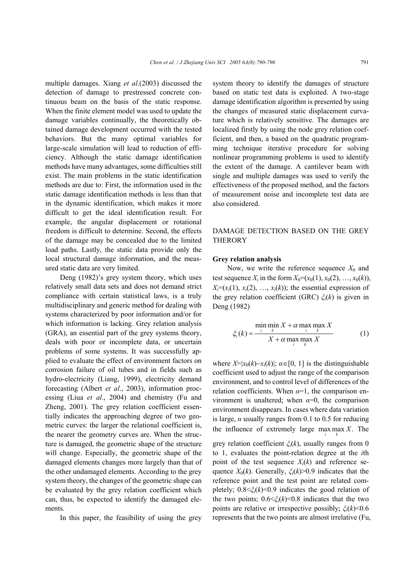multiple damages. Xiang *et al*.(2003) discussed the detection of damage to prestressed concrete continuous beam on the basis of the static response. When the finite element model was used to update the damage variables continually, the theoretically obtained damage development occurred with the tested behaviors. But the many optimal variables for large-scale simulation will lead to reduction of efficiency. Although the static damage identification methods have many advantages, some difficulties still exist. The main problems in the static identification methods are due to: First, the information used in the static damage identification methods is less than that in the dynamic identification, which makes it more difficult to get the ideal identification result. For example, the angular displacement or rotational freedom is difficult to determine. Second, the effects of the damage may be concealed due to the limited load paths. Lastly, the static data provide only the local structural damage information, and the measured static data are very limited.

Deng (1982)'s grey system theory, which uses relatively small data sets and does not demand strict compliance with certain statistical laws, is a truly multidisciplinary and generic method for dealing with systems characterized by poor information and/or for which information is lacking. Grey relation analysis (GRA), an essential part of the grey systems theory, deals with poor or incomplete data, or uncertain problems of some systems. It was successfully applied to evaluate the effect of environment factors on corrosion failure of oil tubes and in fields such as hydro-electricity (Liang, 1999), electricity demand forecasting (Albert *et al*., 2003), information processing (Liua *et al*., 2004) and chemistry (Fu and Zheng, 2001). The grey relation coefficient essentially indicates the approaching degree of two geometric curves: the larger the relational coefficient is, the nearer the geometry curves are. When the structure is damaged, the geometric shape of the structure will change. Especially, the geometric shape of the damaged elements changes more largely than that of the other undamaged elements. According to the grey system theory, the changes of the geometric shape can be evaluated by the grey relation coefficient which can, thus, be expected to identify the damaged elements.

In this paper, the feasibility of using the grey

system theory to identify the damages of structure based on static test data is exploited. A two-stage damage identification algorithm is presented by using the changes of measured static displacement curvature which is relatively sensitive. The damages are localized firstly by using the node grey relation coefficient, and then, a based on the quadratic programming technique iterative procedure for solving nonlinear programming problems is used to identify the extent of the damage. A cantilever beam with single and multiple damages was used to verify the effectiveness of the proposed method, and the factors of measurement noise and incomplete test data are also considered.

# DAMAGE DETECTION BASED ON THE GREY **THERORY**

### **Grey relation analysis**

Now, we write the reference sequence  $X_0$  and test sequence *X<sub>i</sub>* in the form  $X_0=(x_0(1), x_0(2), ..., x_0(k)),$  $X_i=(x_i(1), x_i(2), \ldots, x_i(k))$ ; the essential expression of the grey relation coefficient (GRC) *ξi*(*k*) is given in Deng (1982)

$$
\xi_i(k) = \frac{\min_{i} \min_{k} X + \alpha \max_{i} \max_{k} X}{X + \alpha \max_{i} \max_{k} X}
$$
 (1)

where  $X=|x_0(k)-x_i(k)|$ ;  $\alpha \in [0, 1]$  is the distinguishable coefficient used to adjust the range of the comparison environment, and to control level of differences of the relation coefficients. When  $\alpha=1$ , the comparison environment is unaltered; when  $\alpha=0$ , the comparison environment disappears. In cases where data variation is large,  $\alpha$  usually ranges from 0.1 to 0.5 for reducing the influence of extremely large  $\max_i \max_k X$ . The

grey relation coefficient *ξi*(*k*), usually ranges from 0 to 1, evaluates the point-relation degree at the *i*th point of the test sequence  $X_i(k)$  and reference sequence  $X_0(k)$ . Generally,  $\xi_i(k) > 0.9$  indicates that the reference point and the test point are related completely; 0.8<*ξi*(*k*)<0.9 indicates the good relation of the two points; 0.6<*ξi*(*k*)<0.8 indicates that the two points are relative or irrespective possibly; *ξi*(*k*)<0.6 represents that the two points are almost irrelative (Fu,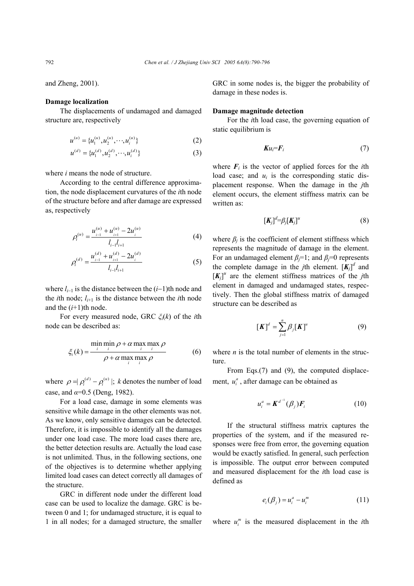and Zheng, 2001).

## **Damage localization**

The displacements of undamaged and damaged structure are, respectively

$$
u^{(u)} = \{u_1^{(u)}, u_2^{(u)}, \cdots, u_i^{(u)}\}
$$
 (2)

$$
u^{(d)} = \{u_1^{(d)}, u_2^{(d)}, \cdots, u_i^{(d)}\}
$$
 (3)

where *i* means the node of structure.

According to the central difference approximation, the node displacement curvatures of the *i*th node of the structure before and after damage are expressed as, respectively

$$
\rho_i^{(u)} = \frac{u_{i-1}^{(u)} + u_{i+1}^{(u)} - 2u_i^{(u)}}{l_{i-1}l_{i+1}}
$$
(4)

$$
\rho_i^{(d)} = \frac{u_{i-1}^{(d)} + u_{i+1}^{(d)} - 2u_i^{(d)}}{l_{i-1}l_{i+1}}
$$
\n(5)

where *li*−1 is the distance between the (*i*−1)th node and the *i*th node;  $l_{i+1}$  is the distance between the *i*th node and the (*i*+1)th node.

For every measured node, GRC *ξi*(*k*) of the *i*th node can be described as:

$$
\xi_i(k) = \frac{\min_{i} \min_{i} \rho + \alpha \max_{i} \max_{i} \rho}{\rho + \alpha \max_{i} \max_{i} \rho}
$$
(6)

where  $\rho = \rho_i^{(d)} - \rho_i^{(u)}$  ; *k* denotes the number of load case, and *α*=0.5 (Deng, 1982).

For a load case, damage in some elements was sensitive while damage in the other elements was not. As we know, only sensitive damages can be detected. Therefore, it is impossible to identify all the damages under one load case. The more load cases there are, the better detection results are. Actually the load case is not unlimited. Thus, in the following sections, one of the objectives is to determine whether applying limited load cases can detect correctly all damages of the structure.

GRC in different node under the different load case can be used to localize the damage. GRC is between 0 and 1; for undamaged structure, it is equal to 1 in all nodes; for a damaged structure, the smaller

GRC in some nodes is, the bigger the probability of damage in these nodes is.

### **Damage magnitude detection**

For the *i*th load case, the governing equation of static equilibrium is

$$
Ku_i = F_i \tag{7}
$$

where  $F_i$  is the vector of applied forces for the *i*th load case; and  $u_i$  is the corresponding static displacement response. When the damage in the *j*th element occurs, the element stiffness matrix can be written as:

$$
[\boldsymbol{K}_j]^d = \beta_j [\boldsymbol{K}_j]^u \tag{8}
$$

where  $\beta_i$  is the coefficient of element stiffness which represents the magnitude of damage in the element. For an undamaged element  $\beta_i=1$ ; and  $\beta_i=0$  represents the complete damage in the *j*th element.  $[K_j]^d$  and  $[K_j]$ <sup>u</sup> are the element stiffness matrices of the *j*th element in damaged and undamaged states, respectively. Then the global stiffness matrix of damaged structure can be described as

$$
[\bm{K}]^{d} = \sum_{j=1}^{n} \beta_{j} [\bm{K}]^{u}
$$
 (9)

where  $n$  is the total number of elements in the structure.

From Eqs.(7) and (9), the computed displacement,  $u_i^a$ , after damage can be obtained as

$$
u_i^a = \boldsymbol{K}^{d^{-1}}(\boldsymbol{\beta}_j)\boldsymbol{F}_i
$$
 (10)

If the structural stiffness matrix captures the properties of the system, and if the measured responses were free from error, the governing equation would be exactly satisfied. In general, such perfection is impossible. The output error between computed and measured displacement for the *i*th load case is defined as

$$
e_i(\beta_j) = u_i^a - u_i^m \tag{11}
$$

where  $u_i^m$  is the measured displacement in the *i*th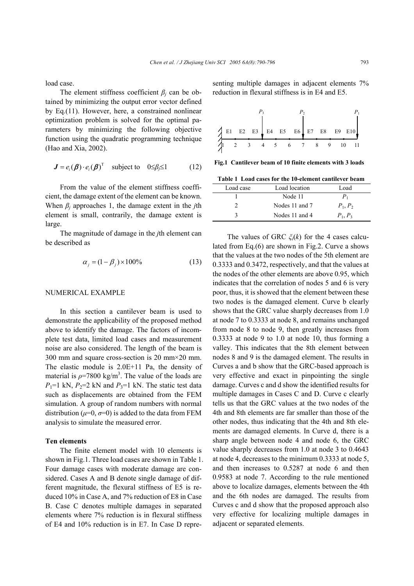load case.

The element stiffness coefficient *βj* can be obtained by minimizing the output error vector defined by Eq.(11). However, here, a constrained nonlinear optimization problem is solved for the optimal parameters by minimizing the following objective function using the quadratic programming technique (Hao and Xia, 2002).

$$
\boldsymbol{J} = e_i(\boldsymbol{\beta}) \cdot e_i(\boldsymbol{\beta})^{\mathrm{T}} \quad \text{subject to} \quad 0 \le \beta_j \le 1 \tag{12}
$$

From the value of the element stiffness coefficient, the damage extent of the element can be known. When  $\beta_i$  approaches 1, the damage extent in the *j*th element is small, contrarily, the damage extent is large.

The magnitude of damage in the *j*th element can be described as

$$
\alpha_j = (1 - \beta_j) \times 100\% \tag{13}
$$

## NUMERICAL EXAMPLE

In this section a cantilever beam is used to demonstrate the applicability of the proposed method above to identify the damage. The factors of incomplete test data, limited load cases and measurement noise are also considered. The length of the beam is 300 mm and square cross-section is 20 mm×20 mm. The elastic module is 2.0E+11 Pa, the density of material is  $\rho$ =7800 kg/m<sup>3</sup>. The value of the loads are  $P_1$ =1 kN,  $P_2$ =2 kN and  $P_3$ =1 kN. The static test data such as displacements are obtained from the FEM simulation. A group of random numbers with normal distribution ( $\mu$ =0,  $\sigma$ =0) is added to the data from FEM analysis to simulate the measured error.

#### **Ten elements**

The finite element model with 10 elements is shown in Fig.1. Three load cases are shown in Table 1. Four damage cases with moderate damage are considered. Cases A and B denote single damage of different magnitude, the flexural stiffness of E5 is reduced 10% in Case A, and 7% reduction of E8 in Case B. Case C denotes multiple damages in separated elements where 7% reduction is in flexural stiffness of E4 and 10% reduction is in E7. In Case D representing multiple damages in adjacent elements 7% reduction in flexural stiffness is in E4 and E5.



**Fig.1 Cantilever beam of 10 finite elements with 3 loads**

**Table 1 Load cases for the 10-element cantilever beam**

| Load case | Load location  | Load       |
|-----------|----------------|------------|
|           | Node 11        | $P_{1}$    |
|           | Nodes 11 and 7 | $P_1, P_2$ |
|           | Nodes 11 and 4 | $P_1, P_3$ |

The values of GRC  $\xi_i(k)$  for the 4 cases calculated from Eq.(6) are shown in Fig.2. Curve a shows that the values at the two nodes of the 5th element are 0.3333 and 0.3472, respectively, and that the values at the nodes of the other elements are above 0.95, which indicates that the correlation of nodes 5 and 6 is very poor, thus, it is showed that the element between these two nodes is the damaged element. Curve b clearly shows that the GRC value sharply decreases from 1.0 at node 7 to 0.3333 at node 8, and remains unchanged from node 8 to node 9, then greatly increases from 0.3333 at node 9 to 1.0 at node 10, thus forming a valley. This indicates that the 8th element between nodes 8 and 9 is the damaged element. The results in Curves a and b show that the GRC-based approach is very effective and exact in pinpointing the single damage. Curves c and d show the identified results for multiple damages in Cases C and D. Curve c clearly tells us that the GRC values at the two nodes of the 4th and 8th elements are far smaller than those of the other nodes, thus indicating that the 4th and 8th elements are damaged elements. In Curve d, there is a sharp angle between node 4 and node 6, the GRC value sharply decreases from 1.0 at node 3 to 0.4643 at node 4, decreases to the minimum 0.3333 at node 5, and then increases to 0.5287 at node 6 and then 0.9583 at node 7. According to the rule mentioned above to localize damages, elements between the 4th and the 6th nodes are damaged. The results from Curves c and d show that the proposed approach also very effective for localizing multiple damages in adjacent or separated elements.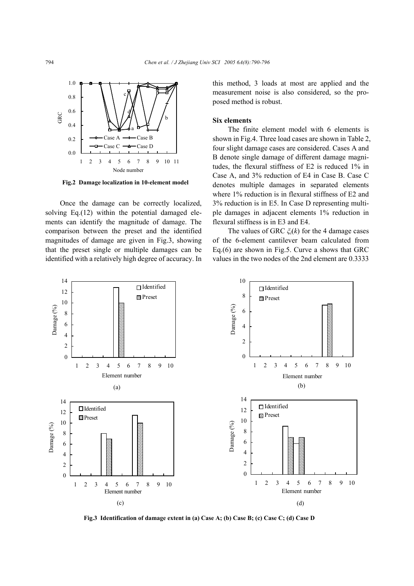

**Fig.2 Damage localization in 10-element model**

Once the damage can be correctly localized, solving Eq.(12) within the potential damaged elements can identify the magnitude of damage. The comparison between the preset and the identified magnitudes of damage are given in Fig.3, showing that the preset single or multiple damages can be identified with a relatively high degree of accuracy. In

this method, 3 loads at most are applied and the measurement noise is also considered, so the proposed method is robust.

## **Six elements**

The finite element model with 6 elements is shown in Fig.4. Three load cases are shown in Table 2, four slight damage cases are considered. Cases A and B denote single damage of different damage magnitudes, the flexural stiffness of E2 is reduced 1% in Case A, and 3% reduction of E4 in Case B. Case C denotes multiple damages in separated elements where 1% reduction is in flexural stiffness of E2 and 3% reduction is in E5. In Case D representing multiple damages in adjacent elements 1% reduction in flexural stiffness is in E3 and E4.

The values of GRC *ξi*(*k*) for the 4 damage cases of the 6-element cantilever beam calculated from Eq.(6) are shown in Fig.5. Curve a shows that GRC values in the two nodes of the 2nd element are 0.3333



**Fig.3 Identification of damage extent in (a) Case A; (b) Case B; (c) Case C; (d) Case D**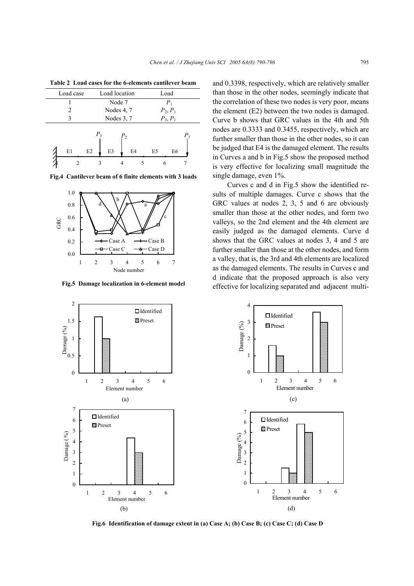| таріс 2 - доай сазся ісі-сііс о сісінсігія сантістег реані |                                                |                                       |
|------------------------------------------------------------|------------------------------------------------|---------------------------------------|
| Load case                                                  | Load location                                  | Load                                  |
|                                                            | Node 7                                         | $P_{1}$                               |
| $\mathcal{L}$                                              | Nodes 4, 7                                     | $P_2, P_1$                            |
| 3                                                          | Nodes 3, 7                                     | $P_3, P_1$                            |
| E1                                                         | $P_{3}$<br>$P_2$<br>E3<br>E2<br>E <sub>4</sub> | Р<br>E <sub>6</sub><br>E <sub>5</sub> |
|                                                            |                                                |                                       |

**Table 2 Load cases for the 6-elements cantilever beam** 

**Fig.4 Cantilever beam of 6 finite elements with 3 loads**



**Fig.5 Damage localization in 6-element model**

and 0.3398, respectively, which are relatively smaller than those in the other nodes, seemingly indicate that the correlation of these two nodes is very poor, means the element (E2) between the two nodes is damaged. Curve b shows that GRC values in the 4th and 5th nodes are 0.3333 and 0.3455, respectively, which are further smaller than those in the other nodes, so it can be judged that E4 is the damaged element. The results in Curves a and b in Fig.5 show the proposed method is very effective for localizing small magnitude the single damage, even 1%.

Curves c and d in Fig.5 show the identified results of multiple damages. Curve c shows that the GRC values at nodes 2, 3, 5 and 6 are obviously smaller than those at the other nodes, and form two valleys, so the 2nd element and the 4th element are easily judged as the damaged elements. Curve d shows that the GRC values at nodes 3, 4 and 5 are further smaller than those at the other nodes, and form a valley, that is, the 3rd and 4th elements are localized as the damaged elements. The results in Curves c and d indicate that the proposed approach is also very effective for localizing separated and adjacent multi-



**Fig.6 Identification of damage extent in (a) Case A; (b) Case B; (c) Case C; (d) Case D**